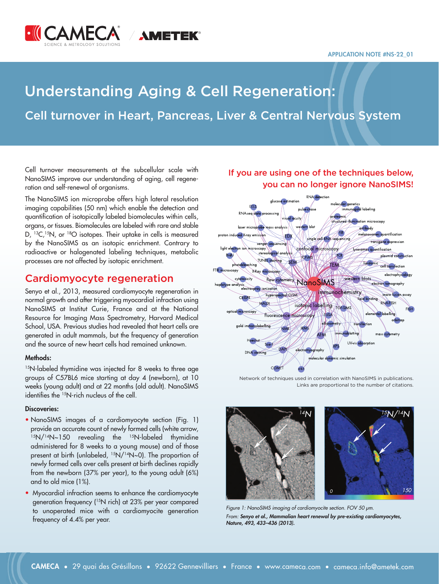#### **APPLICATION NOTE #NS-22\_01**



# Understanding Aging & Cell Regeneration:

# Cell turnover in Heart, Pancreas, Liver & Central Nervous System

Cell turnover measurements at the subcellular scale with NanoSIMS improve our understanding of aging, cell regeneration and self-renewal of organisms.

The NanoSIMS ion microprobe offers high lateral resolution imaging capabilities (50 nm) which enable the detection and quantification of isotopically labeled biomolecules within cells, organs, or tissues. Biomolecules are labeled with rare and stable D, <sup>13</sup>C,<sup>15</sup>N, or <sup>18</sup>O isotopes. Their uptake in cells is measured by the NanoSIMS as an isotopic enrichment. Contrary to radioactive or halogenated labeling techniques, metabolic processes are not affected by isotopic enrichment.

## Cardiomyocyte regeneration

Senyo et al., 2013, measured cardiomyocyte regeneration in normal growth and after triggering myocardial infraction using NanoSIMS at Institut Curie, France and at the National Resource for Imaging Mass Spectrometry, Harvard Medical School, USA. Previous studies had revealed that heart cells are generated in adult mammals, but the frequency of generation and the source of new heart cells had remained unknown.

### **Methods:**

<sup>15</sup>N-labeled thymidine was injected for 8 weeks to three age groups of C57BL6 mice starting at day 4 (newborn), at 10 weeks (young adult) and at 22 months (old adult). NanoSIMS identifies the <sup>15</sup>N-rich nucleus of the cell.

### **Discoveries:**

- NanoSIMS images of a cardiomyocyte section (Fig. 1) provide an accurate count of newly formed cells (white arrow, 15N/14N~150 revealing the 15N-labeled thymidine administered for 8 weeks to a young mouse) and of those present at birth (unlabeled, <sup>15</sup>N/<sup>14</sup>N~0). The proportion of newly formed cells over cells present at birth declines rapidly from the newborn (37% per year), to the young adult (6%) and to old mice (1%).
- Myocardial infraction seems to enhance the cardiomyocyte generation frequency (<sup>15</sup>N rich) at 23% per year compared to unoperated mice with a cardiomyocite generation frequency of 4.4% per year.



## If you are using one of the techniques below, you can no longer ignore NanoSIMS!

Network of techniques used in correlation with NanoSIMS in publications. Links are proportional to the number of citations.





Figure 1: NanoSIMS imaging of cardiomyocite section. FOV 50 μm. From: *[Senyo et al., Mammalian heart renewal by pre-existing cardiomyocytes,](https://www.researchgate.net/publication/233880526_Mammalian_Heart_Renewal_by_Preexisting_Cardiomyocytes) [Nature, 493, 433–436 \(2013\).](https://www.researchgate.net/publication/233880526_Mammalian_Heart_Renewal_by_Preexisting_Cardiomyocytes)*